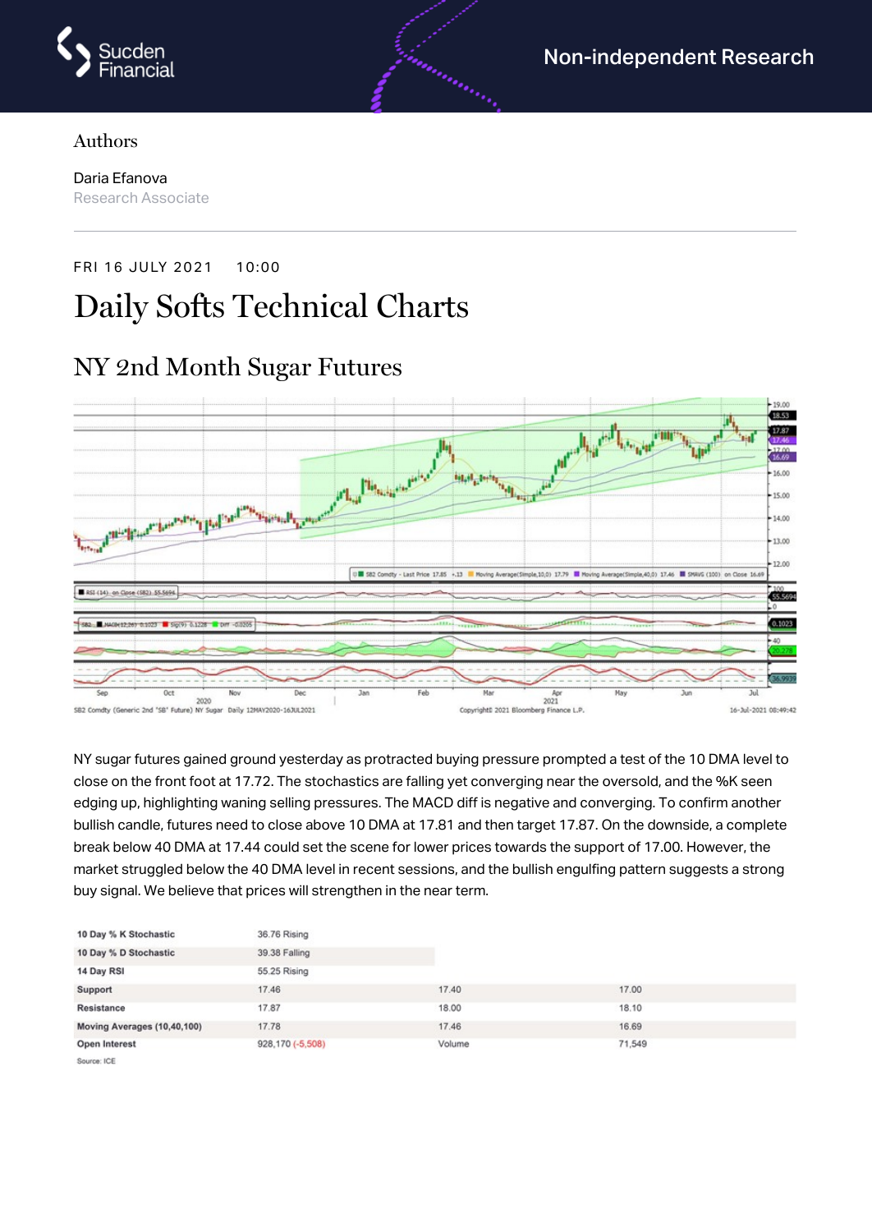

#### Authors

Daria Efanova Research Associate

FRI 16 JULY 2021 10:00

# Daily Softs Technical Charts



NY sugar futures gained ground yesterday as protracted buying pressure prompted a test of the 10 DMA level to close on the front foot at 17.72. The stochastics are falling yet converging near the oversold, and the %K seen edging up, highlighting waning selling pressures. The MACD diff is negative and converging. To confirm another bullish candle, futures need to close above 10 DMA at 17.81 and then target 17.87. On the downside, a complete break below 40 DMA at 17.44 could set the scene for lower prices towards the support of 17.00. However, the market struggled below the 40 DMA level in recent sessions, and the bullish engulfing pattern suggests a strong buy signal. We believe that prices will strengthen in the near term.

| 10 Day % K Stochastic       | 36.76 Rising     |        |        |  |
|-----------------------------|------------------|--------|--------|--|
| 10 Day % D Stochastic       | 39.38 Falling    |        |        |  |
| 14 Day RSI                  | 55.25 Rising     |        |        |  |
| Support                     | 17.46            | 17.40  | 17.00  |  |
| Resistance                  | 17.87            | 18.00  | 18.10  |  |
| Moving Averages (10,40,100) | 17.78            | 17.46  | 16.69  |  |
| Open Interest               | 928,170 (-5,508) | Volume | 71,549 |  |
| Courses ICE                 |                  |        |        |  |

#### NY 2nd Month Sugar Futures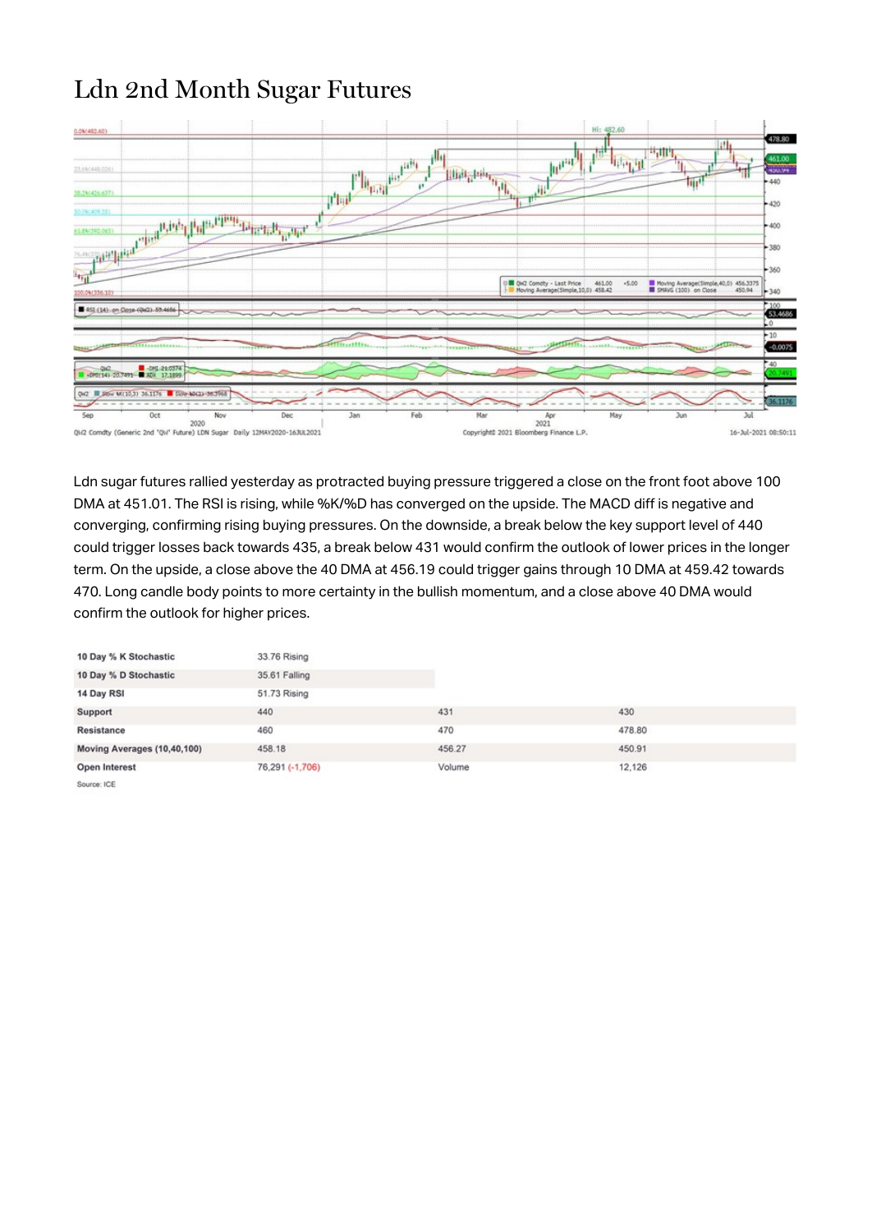## Ldn 2nd Month Sugar Futures



Ldn sugar futures rallied yesterday as protracted buying pressure triggered a close on the front foot above 100 DMA at 451.01. The RSI is rising, while %K/%D has converged on the upside. The MACD diff is negative and converging, confirming rising buying pressures. On the downside, a break below the key support level of 440 could trigger losses back towards 435, a break below 431 would confirm the outlook of lower prices in the longer term. On the upside, a close above the 40 DMA at 456.19 could trigger gains through 10 DMA at 459.42 towards 470. Long candle body points to more certainty in the bullish momentum, and a close above 40 DMA would confirm the outlook for higher prices.

| 10 Day % K Stochastic       | 33.76 Rising    |        |        |  |
|-----------------------------|-----------------|--------|--------|--|
| 10 Day % D Stochastic       | 35.61 Falling   |        |        |  |
| 14 Day RSI                  | 51.73 Rising    |        |        |  |
| Support                     | 440             | 431    | 430    |  |
| Resistance                  | 460             | 470    | 478.80 |  |
| Moving Averages (10,40,100) | 458.18          | 456.27 | 450.91 |  |
| Open Interest               | 76,291 (-1,706) | Volume | 12,126 |  |
| Source: ICE                 |                 |        |        |  |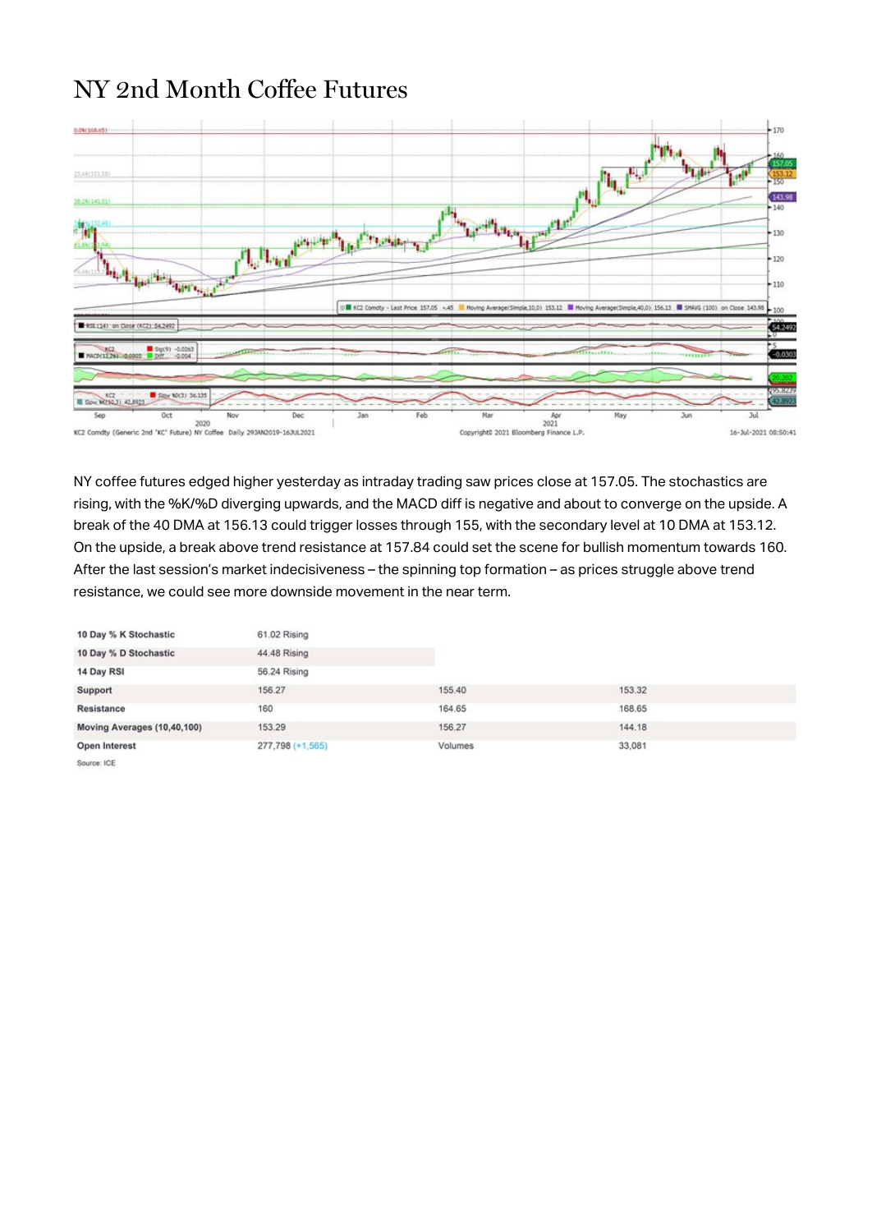#### NY 2nd Month Coffee Futures



NY coffee futures edged higher yesterday as intraday trading saw prices close at 157.05. The stochastics are rising, with the %K/%D diverging upwards, and the MACD diff is negative and about to converge on the upside. A break of the 40 DMA at 156.13 could trigger losses through 155, with the secondary level at 10 DMA at 153.12. On the upside, a break above trend resistance at 157.84 could set the scene for bullish momentum towards 160. After the last session's market indecisiveness – the spinning top formation – as prices struggle above trend resistance, we could see more downside movement in the near term.

| 10 Day % K Stochastic       | 61.02 Rising     |         |        |  |
|-----------------------------|------------------|---------|--------|--|
| 10 Day % D Stochastic       | 44.48 Rising     |         |        |  |
| 14 Day RSI                  | 56.24 Rising     |         |        |  |
| Support                     | 156.27           | 155.40  | 153.32 |  |
| Resistance                  | 160              | 164.65  | 168.65 |  |
| Moving Averages (10,40,100) | 153.29           | 156.27  | 144.18 |  |
| Open Interest               | 277,798 (+1,565) | Volumes | 33,081 |  |
| Source: ICE                 |                  |         |        |  |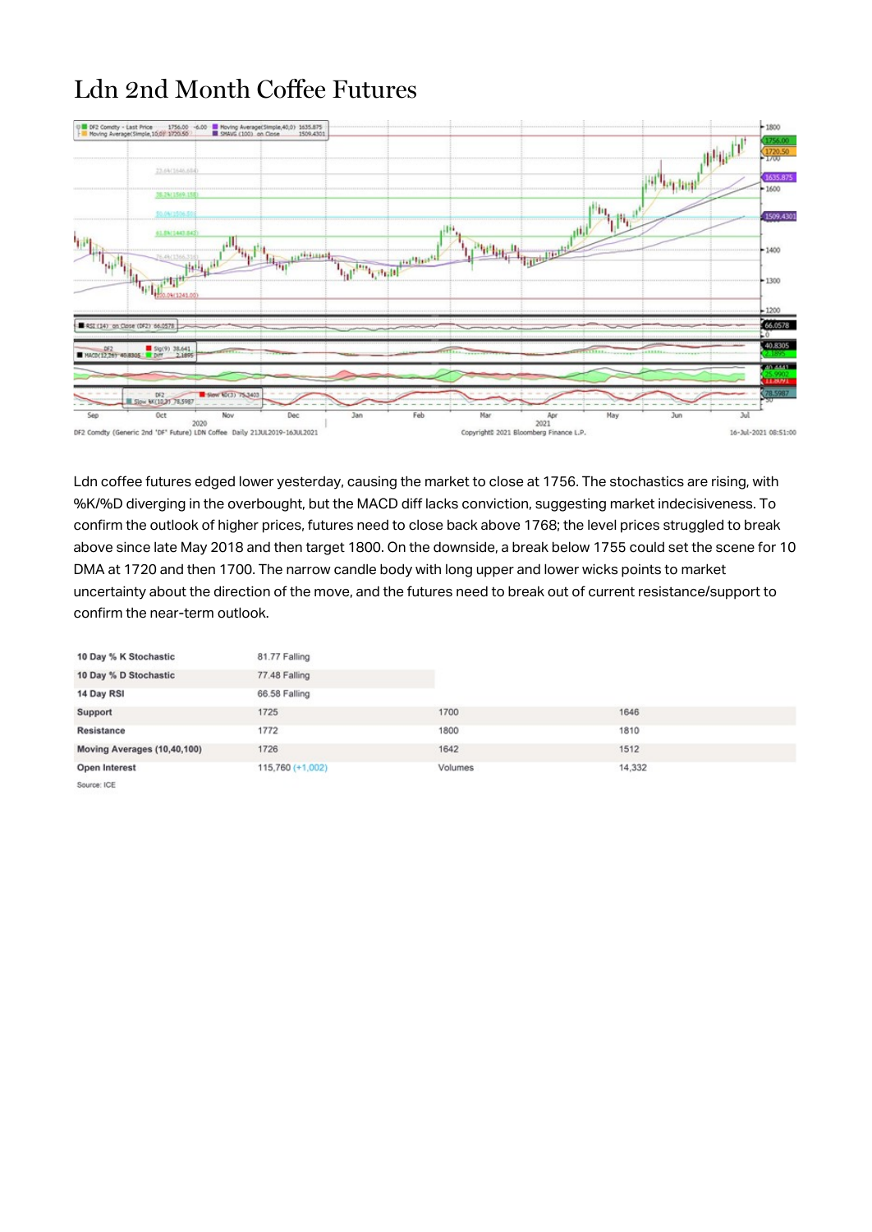## Ldn 2nd Month Coffee Futures



Ldn coffee futures edged lower yesterday, causing the market to close at 1756. The stochastics are rising, with %K/%D diverging in the overbought, but the MACD diff lacks conviction, suggesting market indecisiveness. To confirm the outlook of higher prices, futures need to close back above 1768; the level prices struggled to break above since late May 2018 and then target 1800. On the downside, a break below 1755 could set the scene for 10 DMA at 1720 and then 1700. The narrow candle body with long upper and lower wicks points to market uncertainty about the direction of the move, and the futures need to break out of current resistance/support to confirm the near-term outlook.

| 10 Day % K Stochastic       | 81.77 Falling      |         |        |  |
|-----------------------------|--------------------|---------|--------|--|
| 10 Day % D Stochastic       | 77.48 Falling      |         |        |  |
| 14 Day RSI                  | 66.58 Falling      |         |        |  |
| Support                     | 1725               | 1700    | 1646   |  |
| Resistance                  | 1772               | 1800    | 1810   |  |
| Moving Averages (10,40,100) | 1726               | 1642    | 1512   |  |
| Open Interest               | $115,760 (+1,002)$ | Volumes | 14,332 |  |
| Source: ICE                 |                    |         |        |  |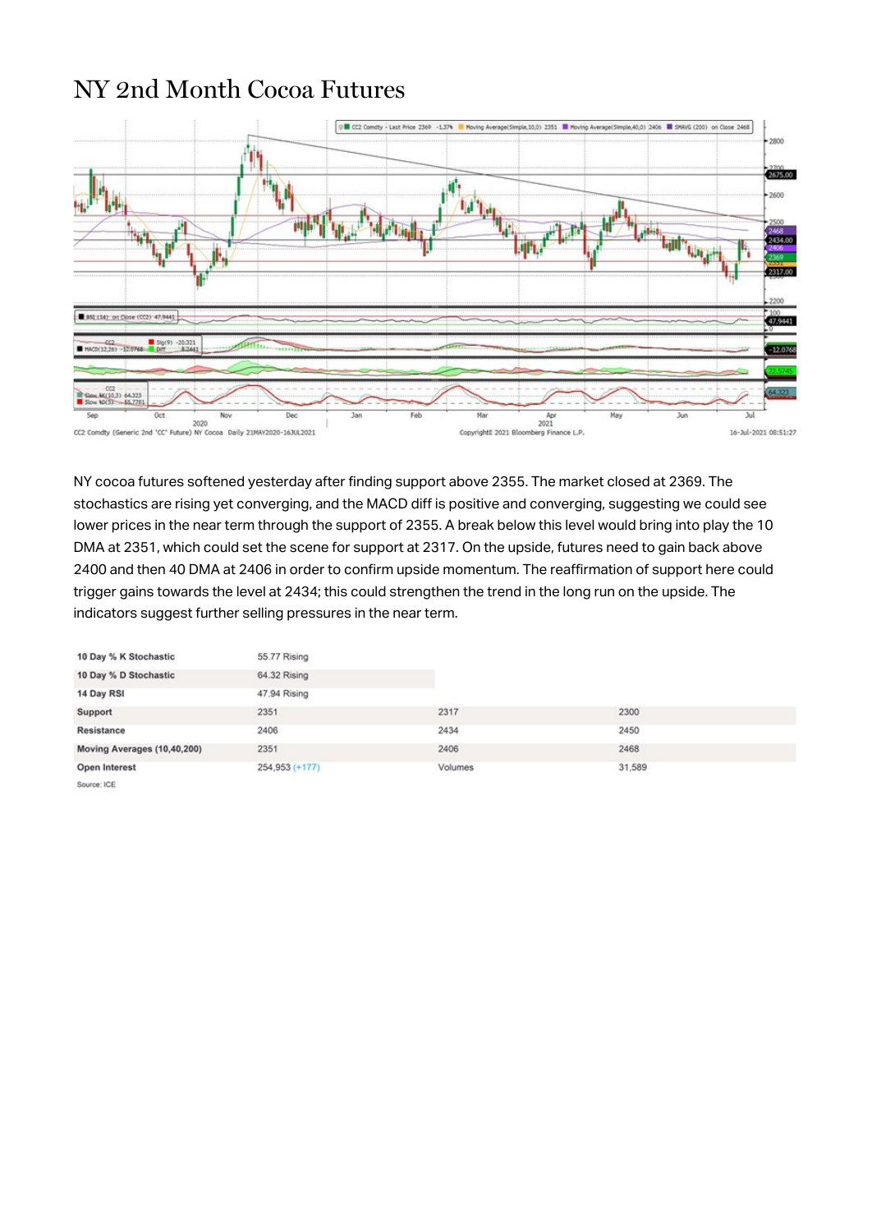#### NY 2nd Month Cocoa Futures



NY cocoa futures softened yesterday after finding support above 2355. The market closed at 2369. The stochastics are rising yet converging, and the MACD diff is positive and converging, suggesting we could see lower prices in the near term through the support of 2355. A break below this level would bring into play the 10 DMA at 2351, which could set the scene for support at 2317. On the upside, futures need to gain back above 2400 and then 40 DMA at 2406 in order to confirm upside momentum. The reaffirmation of support here could trigger gains towards the level at 2434; this could strengthen the trend in the long run on the upside. The indicators suggest further selling pressures in the near term.

| 10 Day % K Stochastic       | 55.77 Rising   |         |        |  |
|-----------------------------|----------------|---------|--------|--|
| 10 Day % D Stochastic       | 64.32 Rising   |         |        |  |
| 14 Day RSI                  | 47.94 Rising   |         |        |  |
| Support                     | 2351           | 2317    | 2300   |  |
| Resistance                  | 2406           | 2434    | 2450   |  |
| Moving Averages (10,40,200) | 2351           | 2406    | 2468   |  |
| Open Interest               | 254,953 (+177) | Volumes | 31,589 |  |
| Source: ICE                 |                |         |        |  |